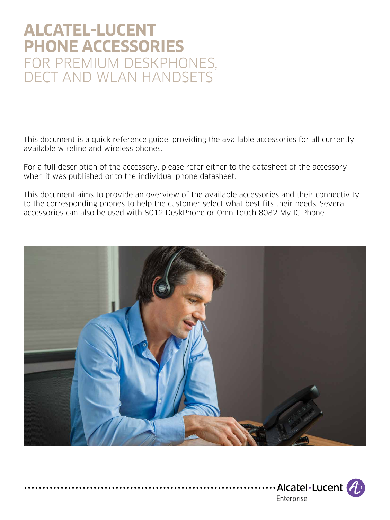## **ALCATEL-LUCENT PHONE ACCESSORIES** FOR PREMIUM DESKPHONES, DECT AND WLAN HANDSETS

This document is a quick reference guide, providing the available accessories for all currently available wireline and wireless phones.

For a full description of the accessory, please refer either to the datasheet of the accessory when it was published or to the individual phone datasheet.

This document aims to provide an overview of the available accessories and their connectivity to the corresponding phones to help the customer select what best fits their needs. Several accessories can also be used with 8012 DeskPhone or OmniTouch 8082 My IC Phone.